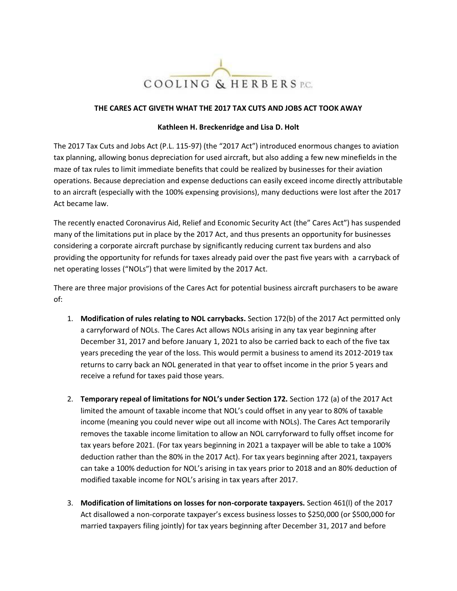

## **THE CARES ACT GIVETH WHAT THE 2017 TAX CUTS AND JOBS ACT TOOK AWAY**

## **Kathleen H. Breckenridge and Lisa D. Holt**

The 2017 Tax Cuts and Jobs Act (P.L. 115-97) (the "2017 Act") introduced enormous changes to aviation tax planning, allowing bonus depreciation for used aircraft, but also adding a few new minefields in the maze of tax rules to limit immediate benefits that could be realized by businesses for their aviation operations. Because depreciation and expense deductions can easily exceed income directly attributable to an aircraft (especially with the 100% expensing provisions), many deductions were lost after the 2017 Act became law.

The recently enacted Coronavirus Aid, Relief and Economic Security Act (the" Cares Act") has suspended many of the limitations put in place by the 2017 Act, and thus presents an opportunity for businesses considering a corporate aircraft purchase by significantly reducing current tax burdens and also providing the opportunity for refunds for taxes already paid over the past five years with a carryback of net operating losses ("NOLs") that were limited by the 2017 Act.

There are three major provisions of the Cares Act for potential business aircraft purchasers to be aware of:

- 1. **Modification of rules relating to NOL carrybacks.** Section 172(b) of the 2017 Act permitted only a carryforward of NOLs. The Cares Act allows NOLs arising in any tax year beginning after December 31, 2017 and before January 1, 2021 to also be carried back to each of the five tax years preceding the year of the loss. This would permit a business to amend its 2012-2019 tax returns to carry back an NOL generated in that year to offset income in the prior 5 years and receive a refund for taxes paid those years.
- 2. **Temporary repeal of limitations for NOL's under Section 172.** Section 172 (a) of the 2017 Act limited the amount of taxable income that NOL's could offset in any year to 80% of taxable income (meaning you could never wipe out all income with NOLs). The Cares Act temporarily removes the taxable income limitation to allow an NOL carryforward to fully offset income for tax years before 2021. (For tax years beginning in 2021 a taxpayer will be able to take a 100% deduction rather than the 80% in the 2017 Act). For tax years beginning after 2021, taxpayers can take a 100% deduction for NOL's arising in tax years prior to 2018 and an 80% deduction of modified taxable income for NOL's arising in tax years after 2017.
- 3. **Modification of limitations on losses for non-corporate taxpayers.** Section 461(l) of the 2017 Act disallowed a non-corporate taxpayer's excess business losses to \$250,000 (or \$500,000 for married taxpayers filing jointly) for tax years beginning after December 31, 2017 and before